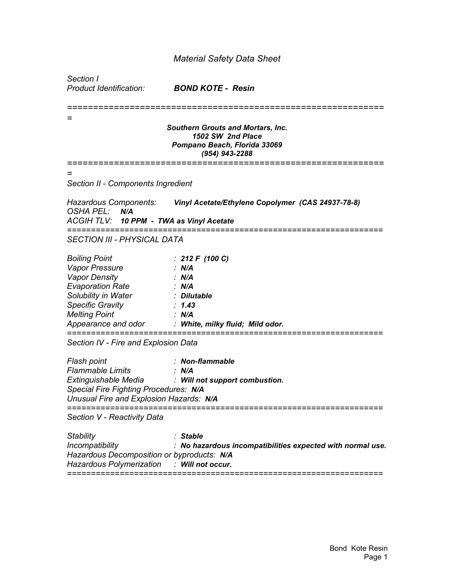## *Material Safety Data Sheet*

| Section I<br>Product Identification:                                                                                                                                                              | <b>BOND KOTE - Resin</b>                                                                                                                      |
|---------------------------------------------------------------------------------------------------------------------------------------------------------------------------------------------------|-----------------------------------------------------------------------------------------------------------------------------------------------|
|                                                                                                                                                                                                   | <b>Southern Grouts and Mortars, Inc.</b><br>1502 SW 2nd Place<br>Pompano Beach, Florida 33069<br>$(954)$ 943-2288<br>======================== |
|                                                                                                                                                                                                   |                                                                                                                                               |
| Section II - Components Ingredient                                                                                                                                                                |                                                                                                                                               |
| OSHA PEL: N/A<br>ACGIH TLV: 10 PPM - TWA as Vinyl Acetate                                                                                                                                         | Hazardous Components: Vinyl Acetate/Ethylene Copolymer (CAS 24937-78-8)                                                                       |
| <b>SECTION III - PHYSICAL DATA</b>                                                                                                                                                                |                                                                                                                                               |
| <b>Boiling Point</b><br><b>Vapor Pressure</b><br><b>Vapor Density</b><br><b>Evaporation Rate</b><br>Solubility in Water<br><b>Specific Gravity</b><br><b>Melting Point</b><br>Appearance and odor | : 212 F (100 C)<br>$\therefore$ N/A<br>: N/A<br>: N/A<br>: Dilutable<br>: 1.43<br>: N/A<br>: White, milky fluid; Mild odor.                   |
| Section IV - Fire and Explosion Data                                                                                                                                                              |                                                                                                                                               |
| Flash point<br><b>Flammable Limits</b><br>Special Fire Fighting Procedures: N/A<br>Unusual Fire and Explosion Hazards: N/A<br>------------------------                                            | : Non-flammable<br>$\therefore$ N/A<br>Extinguishable Media : Will not support combustion.                                                    |
| Section V - Reactivity Data                                                                                                                                                                       |                                                                                                                                               |
| Stability<br>Incompatibility<br>Hazardous Decomposition or byproducts: N/A<br><b>Hazardous Polymerization</b>                                                                                     | : Stable<br>: No hazardous incompatibilities expected with normal use.<br>: Will not occur.                                                   |